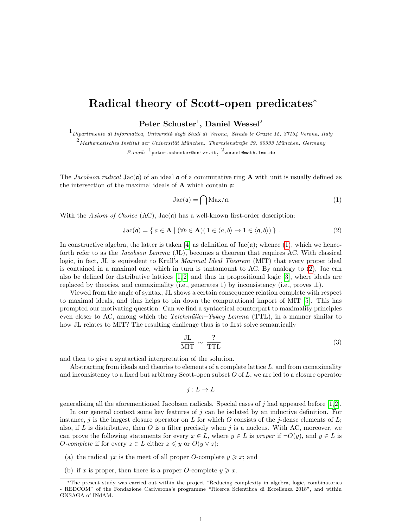## Radical theory of Scott-open predicates<sup>∗</sup>

 $\text{Peter Schuster}^1$ , Daniel Wessel<sup>2</sup>

 $^1$ Dipartimento di Informatica, Università degli Studi di Verona, Strada le Grazie 15, 37134 Verona, Italy

 $^{2}$ Mathematisches Institut der Universität München, Theresienstraße 39, 80333 München, Germany

 $\it E\text{-}mail: \text{ }^1$ peter.schuster@univr.it,  $^2$ wessel@math.lmu.de

The *Jacobson radical*  $Jac(\mathfrak{a})$  of an ideal  $\mathfrak{a}$  of a commutative ring **A** with unit is usually defined as the intersection of the maximal ideals of A which contain a:

<span id="page-0-0"></span>
$$
Jac(\mathfrak{a}) = \bigcap \text{Max}/\mathfrak{a}.\tag{1}
$$

With the Axiom of Choice  $(AC)$ , Jac $(a)$  has a well-known first-order description:

<span id="page-0-1"></span>
$$
Jac(\mathfrak{a}) = \{ a \in \mathbf{A} \mid (\forall b \in \mathbf{A})(1 \in \langle a, b \rangle \to 1 \in \langle \mathfrak{a}, b \rangle) \}.
$$
 (2)

In constructive algebra, the latter is taken [\[4\]](#page-1-0) as definition of  $Jac(\mathfrak{a})$ ; whence [\(1\)](#page-0-0), which we henceforth refer to as the *Jacobson Lemma* (JL), becomes a theorem that requires AC. With classical logic, in fact, JL is equivalent to Krull's *Maximal Ideal Theorem* (MIT) that every proper ideal is contained in a maximal one, which in turn is tantamount to AC. By analogy to [\(2\)](#page-0-1), Jac can also be defined for distributive lattices [\[1,](#page-1-1) [2\]](#page-1-2) and thus in propositional logic [\[3\]](#page-1-3), where ideals are replaced by theories, and comaximality (i.e., generates 1) by inconsistency (i.e., proves  $\perp$ ).

Viewed from the angle of syntax, JL shows a certain consequence relation complete with respect to maximal ideals, and thus helps to pin down the computational import of MIT [\[5\]](#page-1-4). This has prompted our motivating question: Can we find a syntactical counterpart to maximality principles even closer to AC, among which the *Teichmüller–Tukey Lemma* (TTL), in a manner similar to how JL relates to MIT? The resulting challenge thus is to first solve semantically

<span id="page-0-2"></span>
$$
\frac{\text{JL}}{\text{MIT}} \sim \frac{?}{\text{TTL}} \tag{3}
$$

and then to give a syntactical interpretation of the solution.

Abstracting from ideals and theories to elements of a complete lattice  $L$ , and from comaximality and inconsistency to a fixed but arbitrary Scott-open subset  $O$  of  $L$ , we are led to a closure operator

$$
j:L\to L
$$

generalising all the aforementioned Jacobson radicals. Special cases of j had appeared before  $[1,2]$  $[1,2]$ .

In our general context some key features of  $j$  can be isolated by an inductive definition. For instance, j is the largest closure operator on L for which O consists of the j-dense elements of L; also, if L is distributive, then O is a filter precisely when j is a nucleus. With AC, moreover, we can prove the following statements for every  $x \in L$ , where  $y \in L$  is proper if  $\neg O(y)$ , and  $y \in L$  is *O-complete* if for every  $z \in L$  either  $z \leq y$  or  $O(y \vee z)$ :

- (a) the radical jx is the meet of all proper O-complete  $y \geq x$ ; and
- (b) if x is proper, then there is a proper O-complete  $y \geq x$ .

<sup>∗</sup>The present study was carried out within the project "Reducing complexity in algebra, logic, combinatorics - REDCOM" of the Fondazione Cariverona's programme "Ricerca Scientifica di Eccellenza 2018", and within GNSAGA of INdAM.